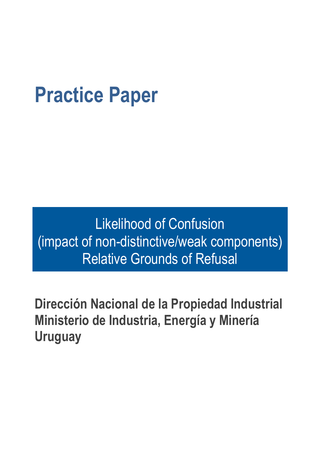# **Practice Paper**

Likelihood of Confusion (impact of non-distinctive/weak components) Relative Grounds of Refusal

**Dirección Nacional de la Propiedad Industrial Ministerio de Industria, Energía y Minería Uruguay**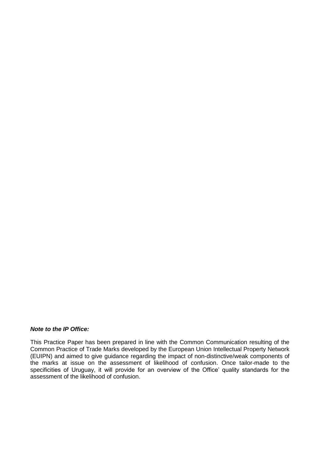#### *Note to the IP Office:*

This Practice Paper has been prepared in line with the Common Communication resulting of the Common Practice of Trade Marks developed by the European Union Intellectual Property Network (EUIPN) and aimed to give guidance regarding the impact of non-distinctive/weak components of the marks at issue on the assessment of likelihood of confusion. Once tailor-made to the specificities of Uruguay, it will provide for an overview of the Office' quality standards for the assessment of the likelihood of confusion.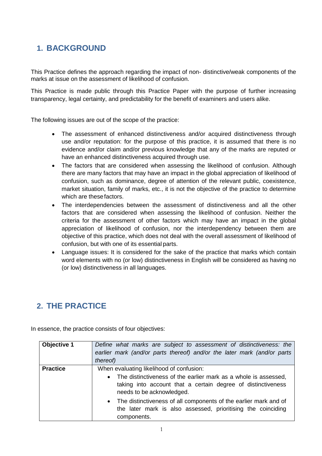# **1. BACKGROUND**

This Practice defines the approach regarding the impact of non- distinctive/weak components of the marks at issue on the assessment of likelihood of confusion.

This Practice is made public through this Practice Paper with the purpose of further increasing transparency, legal certainty, and predictability for the benefit of examiners and users alike.

The following issues are out of the scope of the practice:

- The assessment of enhanced distinctiveness and/or acquired distinctiveness through use and/or reputation: for the purpose of this practice, it is assumed that there is no evidence and/or claim and/or previous knowledge that any of the marks are reputed or have an enhanced distinctiveness acquired through use.
- The factors that are considered when assessing the likelihood of confusion. Although there are many factors that may have an impact in the global appreciation of likelihood of confusion, such as dominance, degree of attention of the relevant public, coexistence, market situation, family of marks, etc., it is not the objective of the practice to determine which are these factors.
- The interdependencies between the assessment of distinctiveness and all the other factors that are considered when assessing the likelihood of confusion. Neither the criteria for the assessment of other factors which may have an impact in the global appreciation of likelihood of confusion, nor the interdependency between them are objective of this practice, which does not deal with the overall assessment of likelihood of confusion, but with one of its essential parts.
- Language issues: It is considered for the sake of the practice that marks which contain word elements with no (or low) distinctiveness in English will be considered as having no (or low) distinctiveness in all languages.

# **2. THE PRACTICE**

In essence, the practice consists of four objectives:

| Objective 1     | Define what marks are subject to assessment of distinctiveness: the<br>earlier mark (and/or parts thereof) and/or the later mark (and/or parts<br>thereof)                                                                                                                                                                                                                            |  |
|-----------------|---------------------------------------------------------------------------------------------------------------------------------------------------------------------------------------------------------------------------------------------------------------------------------------------------------------------------------------------------------------------------------------|--|
| <b>Practice</b> | When evaluating likelihood of confusion:<br>The distinctiveness of the earlier mark as a whole is assessed,<br>$\bullet$<br>taking into account that a certain degree of distinctiveness<br>needs to be acknowledged.<br>The distinctiveness of all components of the earlier mark and of<br>$\bullet$<br>the later mark is also assessed, prioritising the coinciding<br>components. |  |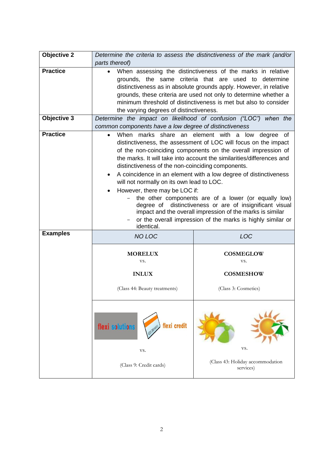| <b>Objective 2</b> | Determine the criteria to assess the distinctiveness of the mark (and/or<br>parts thereof)                                                                                                                                                                                                                                                                                                                                                                                                                                                                                                                                                                                                                                                                                   |                                                                     |  |  |
|--------------------|------------------------------------------------------------------------------------------------------------------------------------------------------------------------------------------------------------------------------------------------------------------------------------------------------------------------------------------------------------------------------------------------------------------------------------------------------------------------------------------------------------------------------------------------------------------------------------------------------------------------------------------------------------------------------------------------------------------------------------------------------------------------------|---------------------------------------------------------------------|--|--|
| <b>Practice</b>    | When assessing the distinctiveness of the marks in relative<br>grounds, the same criteria that are<br>used to determine<br>distinctiveness as in absolute grounds apply. However, in relative<br>grounds, these criteria are used not only to determine whether a<br>minimum threshold of distinctiveness is met but also to consider<br>the varying degrees of distinctiveness.                                                                                                                                                                                                                                                                                                                                                                                             |                                                                     |  |  |
| <b>Objective 3</b> | Determine the impact on likelihood of confusion ("LOC") when the<br>common components have a low degree of distinctiveness                                                                                                                                                                                                                                                                                                                                                                                                                                                                                                                                                                                                                                                   |                                                                     |  |  |
| <b>Practice</b>    | When marks share an element with a low degree of<br>$\bullet$<br>distinctiveness, the assessment of LOC will focus on the impact<br>of the non-coinciding components on the overall impression of<br>the marks. It will take into account the similarities/differences and<br>distinctiveness of the non-coinciding components.<br>A coincidence in an element with a low degree of distinctiveness<br>$\bullet$<br>will not normally on its own lead to LOC.<br>However, there may be LOC if:<br>$\bullet$<br>the other components are of a lower (or equally low)<br>distinctiveness or are of insignificant visual<br>degree of<br>impact and the overall impression of the marks is similar<br>or the overall impression of the marks is highly similar or<br>identical. |                                                                     |  |  |
| <b>Examples</b>    | <b>NO LOC</b>                                                                                                                                                                                                                                                                                                                                                                                                                                                                                                                                                                                                                                                                                                                                                                | <b>LOC</b>                                                          |  |  |
|                    | <b>MORELUX</b><br>VS.<br><b>INLUX</b><br>(Class 44: Beauty treatments)                                                                                                                                                                                                                                                                                                                                                                                                                                                                                                                                                                                                                                                                                                       | <b>COSMEGLOW</b><br>VS.<br><b>COSMESHOW</b><br>(Class 3: Cosmetics) |  |  |
|                    | flexi credit<br>flexi solutions<br>VS.                                                                                                                                                                                                                                                                                                                                                                                                                                                                                                                                                                                                                                                                                                                                       | VS.<br>(Class 43: Holiday accommodation                             |  |  |
|                    | (Class 9: Credit cards)                                                                                                                                                                                                                                                                                                                                                                                                                                                                                                                                                                                                                                                                                                                                                      | services)                                                           |  |  |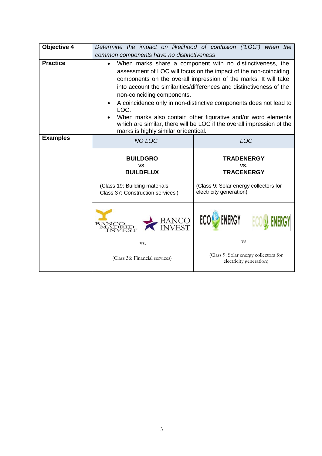| Objective 4     | Determine the impact on likelihood of confusion ("LOC") when the<br>common components have no distinctiveness                                                                                                                                                                                                                                                                                                                                                                                                                                                                                    |                                                                                                                                 |  |
|-----------------|--------------------------------------------------------------------------------------------------------------------------------------------------------------------------------------------------------------------------------------------------------------------------------------------------------------------------------------------------------------------------------------------------------------------------------------------------------------------------------------------------------------------------------------------------------------------------------------------------|---------------------------------------------------------------------------------------------------------------------------------|--|
| <b>Practice</b> | When marks share a component with no distinctiveness, the<br>$\bullet$<br>assessment of LOC will focus on the impact of the non-coinciding<br>components on the overall impression of the marks. It will take<br>into account the similarities/differences and distinctiveness of the<br>non-coinciding components.<br>A coincidence only in non-distinctive components does not lead to<br>$\bullet$<br>LOC.<br>When marks also contain other figurative and/or word elements<br>which are similar, there will be LOC if the overall impression of the<br>marks is highly similar or identical. |                                                                                                                                 |  |
| <b>Examples</b> | <b>NO LOC</b>                                                                                                                                                                                                                                                                                                                                                                                                                                                                                                                                                                                    | <b>LOC</b><br><b>TRADENERGY</b><br>VS.<br><b>TRACENERGY</b><br>(Class 9: Solar energy collectors for<br>electricity generation) |  |
|                 | <b>BUILDGRO</b><br>VS.<br><b>BUILDFLUX</b><br>(Class 19: Building materials<br>Class 37: Construction services)                                                                                                                                                                                                                                                                                                                                                                                                                                                                                  |                                                                                                                                 |  |
|                 | BANCO<br>INVEST                                                                                                                                                                                                                                                                                                                                                                                                                                                                                                                                                                                  | <b>ECO</b> ENERGY                                                                                                               |  |
|                 | VS.                                                                                                                                                                                                                                                                                                                                                                                                                                                                                                                                                                                              | VS.                                                                                                                             |  |
|                 | (Class 36: Financial services)                                                                                                                                                                                                                                                                                                                                                                                                                                                                                                                                                                   | (Class 9: Solar energy collectors for<br>electricity generation)                                                                |  |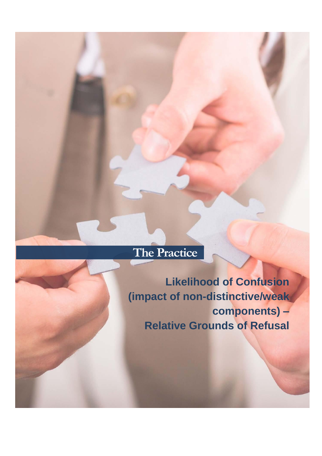# **The Practice**

**Likelihood of Confusion (impact of non-distinctive/weak components) – Relative Grounds of Refusal**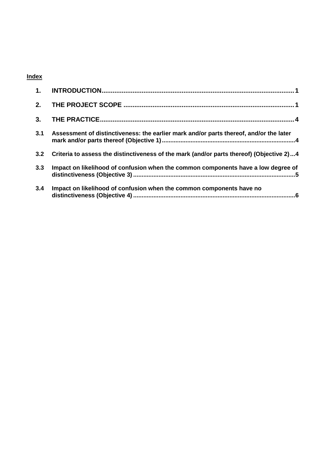#### **Index**

| 1.  |                                                                                          |
|-----|------------------------------------------------------------------------------------------|
| 2.  |                                                                                          |
| 3.  |                                                                                          |
| 3.1 | Assessment of distinctiveness: the earlier mark and/or parts thereof, and/or the later   |
| 3.2 | Criteria to assess the distinctiveness of the mark (and/or parts thereof) (Objective 2)4 |
| 3.3 | Impact on likelihood of confusion when the common components have a low degree of        |
| 3.4 | Impact on likelihood of confusion when the common components have no                     |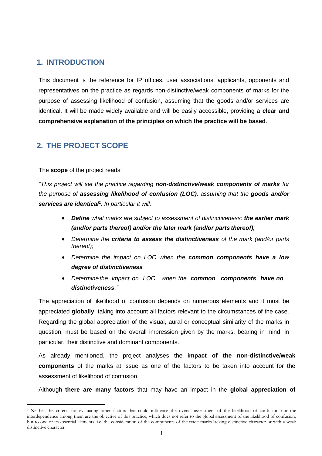#### <span id="page-7-0"></span>**1. INTRODUCTION**

This document is the reference for IP offices, user associations, applicants, opponents and representatives on the practice as regards non-distinctive/weak components of marks for the purpose of assessing likelihood of confusion, assuming that the goods and/or services are identical. It will be made widely available and will be easily accessible, providing a **clear and comprehensive explanation of the principles on which the practice will be based**.

#### <span id="page-7-1"></span>**2. THE PROJECT SCOPE**

The **scope** of the project reads:

 $\overline{a}$ 

*"This project will set the practice regarding non-distinctive/weak components of marks for the purpose of assessing likelihood of confusion (LOC), assuming that the goods and/or services are identical<sup>1</sup> . In particular it will:*

- *Define what marks are subject to assessment of distinctiveness: the earlier mark (and/or parts thereof) and/or the later mark (and/or parts thereof);*
- *Determine the criteria to assess the distinctiveness of the mark (and/or parts thereof);*
- *Determine the impact on LOC when the common components have a low degree of distinctiveness*
- *Determine the impact on LOC when the common components have no distinctiveness*.*"*

The appreciation of likelihood of confusion depends on numerous elements and it must be appreciated **globally**, taking into account all factors relevant to the circumstances of the case. Regarding the global appreciation of the visual, aural or conceptual similarity of the marks in question, must be based on the overall impression given by the marks, bearing in mind, in particular, their distinctive and dominant components.

As already mentioned, the project analyses the **impact of the non-distinctive/weak components** of the marks at issue as one of the factors to be taken into account for the assessment of likelihood of confusion.

Although **there are many factors** that may have an impact in the **global appreciation of** 

<sup>1</sup> Neither the criteria for evaluating other factors that could influence the overall assessment of the likelihood of confusion nor the interdependence among them are the objective of this practice, which does not refer to the global assessment of the likelihood of confusion, but to one of its essential elements, i.e. the consideration of the components of the trade marks lacking distinctive character or with a weak distinctive character.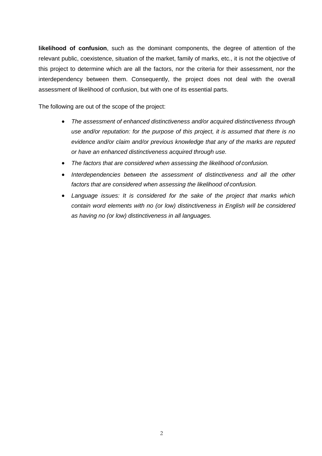**likelihood of confusion**, such as the dominant components, the degree of attention of the relevant public, coexistence, situation of the market, family of marks, etc., it is not the objective of this project to determine which are all the factors, nor the criteria for their assessment, nor the interdependency between them. Consequently, the project does not deal with the overall assessment of likelihood of confusion, but with one of its essential parts.

The following are out of the scope of the project:

- *The assessment of enhanced distinctiveness and/or acquired distinctiveness through use and/or reputation: for the purpose of this project, it is assumed that there is no evidence and/or claim and/or previous knowledge that any of the marks are reputed or have an enhanced distinctiveness acquired through use.*
- *The factors that are considered when assessing the likelihood of confusion.*
- *Interdependencies between the assessment of distinctiveness and all the other factors that are considered when assessing the likelihood of confusion.*
- *Language issues: It is considered for the sake of the project that marks which contain word elements with no (or low) distinctiveness in English will be considered as having no (or low) distinctiveness in all languages.*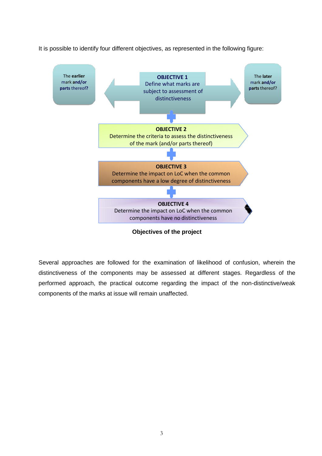It is possible to identify four different objectives, as represented in the following figure:



**Objectives of the project**

Several approaches are followed for the examination of likelihood of confusion, wherein the distinctiveness of the components may be assessed at different stages. Regardless of the performed approach, the practical outcome regarding the impact of the non-distinctive/weak components of the marks at issue will remain unaffected.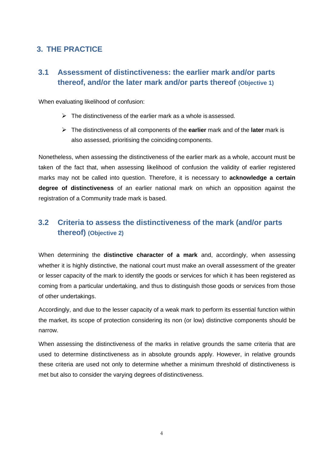# <span id="page-10-1"></span><span id="page-10-0"></span>**3. THE PRACTICE**

### **3.1 Assessment of distinctiveness: the earlier mark and/or parts thereof, and/or the later mark and/or parts thereof (Objective 1)**

When evaluating likelihood of confusion:

- $\triangleright$  The distinctiveness of the earlier mark as a whole is assessed.
- The distinctiveness of all components of the **earlier** mark and of the **later** mark is also assessed, prioritising the coinciding components.

Nonetheless, when assessing the distinctiveness of the earlier mark as a whole, account must be taken of the fact that, when assessing likelihood of confusion the validity of earlier registered marks may not be called into question. Therefore, it is necessary to **acknowledge a certain degree of distinctiveness** of an earlier national mark on which an opposition against the registration of a Community trade mark is based.

# <span id="page-10-2"></span>**3.2 Criteria to assess the distinctiveness of the mark (and/or parts thereof) (Objective 2)**

When determining the **distinctive character of a mark** and, accordingly, when assessing whether it is highly distinctive, the national court must make an overall assessment of the greater or lesser capacity of the mark to identify the goods or services for which it has been registered as coming from a particular undertaking, and thus to distinguish those goods or services from those of other undertakings.

Accordingly, and due to the lesser capacity of a weak mark to perform its essential function within the market, its scope of protection considering its non (or low) distinctive components should be narrow.

When assessing the distinctiveness of the marks in relative grounds the same criteria that are used to determine distinctiveness as in absolute grounds apply. However, in relative grounds these criteria are used not only to determine whether a minimum threshold of distinctiveness is met but also to consider the varying degrees of distinctiveness.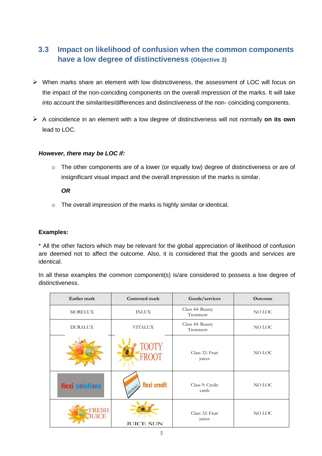# <span id="page-11-0"></span>**3.3 Impact on likelihood of confusion when the common components have a low degree of distinctiveness (Objective 3)**

- When marks share an element with low distinctiveness, the assessment of LOC will focus on the impact of the non-coinciding components on the overall impression of the marks. It will take into account the similarities/differences and distinctiveness of the non- coinciding components.
- A coincidence in an element with a low degree of distinctiveness will not normally **on its own**  lead to LOC.

#### *However, there may be LOC if:*

o The other components are of a lower (or equally low) degree of distinctiveness or are of insignificant visual impact and the overall impression of the marks is similar.

#### *OR*

o The overall impression of the marks is highly similar or identical.

#### **Examples:**

\* All the other factors which may be relevant for the global appreciation of likelihood of confusion are deemed not to affect the outcome. Also, it is considered that the goods and services are identical.

In all these examples the common component(s) is/are considered to possess a low degree of distinctiveness.

| Earlier mark         | Contested mark   | Goods/services                | Outcome |
|----------------------|------------------|-------------------------------|---------|
| <b>MORELUX</b>       | <b>INLUX</b>     | Class 44: Beauty<br>Treatment | NO LOC  |
| <b>DURALUX</b>       | <b>VITALUX</b>   | Class 44: Beauty<br>Treatment | NO LOC  |
|                      | <b>FROOT</b>     | Class 32: Fruit<br>juices     | NO LOC  |
| flexi solutions      | flexi credit     | Class 9: Credit<br>cards      | NO LOC  |
| FRESH<br><b>UICE</b> | <b>JUICE SUN</b> | Class 32: Fruit<br>juices     | NO LOC  |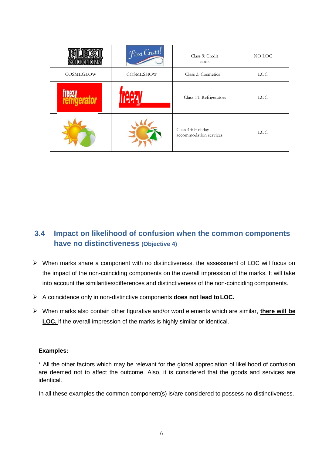|           | Flexi Credit! | Class 9: Credit<br>cards                    | NO LOC     |
|-----------|---------------|---------------------------------------------|------------|
| COSMEGLOW | COSMESHOW     | Class 3: Cosmetics                          | <b>LOC</b> |
|           |               | Class 11: Refrigerators                     | <b>LOC</b> |
|           |               | Class 43: Holiday<br>accommodation services | <b>LOC</b> |

## <span id="page-12-0"></span>**3.4 Impact on likelihood of confusion when the common components have no distinctiveness (Objective 4)**

- $\triangleright$  When marks share a component with no distinctiveness, the assessment of LOC will focus on the impact of the non-coinciding components on the overall impression of the marks. It will take into account the similarities/differences and distinctiveness of the non-coinciding components.
- A coincidence only in non-distinctive components **does not lead toLOC.**
- When marks also contain other figurative and/or word elements which are similar, **there will be LOC,** if the overall impression of the marks is highly similar or identical.

#### **Examples:**

\* All the other factors which may be relevant for the global appreciation of likelihood of confusion are deemed not to affect the outcome. Also, it is considered that the goods and services are identical.

In all these examples the common component(s) is/are considered to possess no distinctiveness.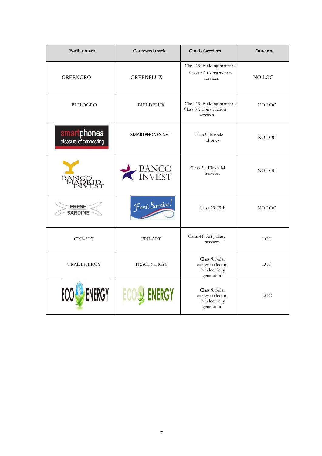| Earlier mark                          | Contested mark         | Goods/services                                                       | <b>Outcome</b> |
|---------------------------------------|------------------------|----------------------------------------------------------------------|----------------|
| <b>GREENGRO</b>                       | <b>GREENFLUX</b>       | Class 19: Building materials<br>Class 37: Construction<br>services   | NO LOC         |
| <b>BUILDGRO</b>                       | <b>BUILDFLUX</b>       | Class 19: Building materials<br>Class 37: Construction<br>services   | NO LOC         |
| smartphones<br>pleasure of connecting | SMARTPHONES.NET        | Class 9: Mobile<br>phones                                            | NO LOC         |
|                                       | <b>BANCO</b><br>INVEST | Class 36: Financial<br>Services                                      | NO LOC         |
| <b>FRESH</b><br><b>SARDINE</b>        | Fresh Sardine!         | Class 29: Fish                                                       | NO LOC         |
| <b>CRE-ART</b>                        | PRE-ART                | Class 41: Art gallery<br>services                                    | LOC            |
| <b>TRADENERGY</b>                     | <b>TRACENERGY</b>      | Class 9: Solar<br>energy collectors<br>for electricity<br>generation | <b>LOC</b>     |
| ERGY                                  | ECO                    | Class 9: Solar<br>energy collectors<br>for electricity<br>generation | <b>LOC</b>     |